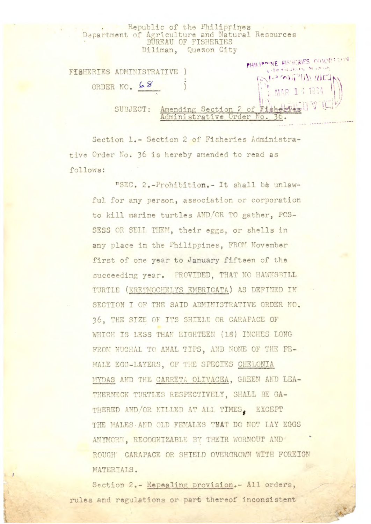|                                            | Republic of the Philippines<br>Department of Agriculture and Natural Resources<br>BUREAU OF FISHERIES<br>Diliman, Quezon City |
|--------------------------------------------|-------------------------------------------------------------------------------------------------------------------------------|
| FISHERIES ADMINISTRATIVE )<br>ORDER NO. 68 | PHILIPPINE FISHERIES COMMERCIAL<br>$\mathbb{P}^{1.3 \times 1.3 \times 100 \times 100}_{1.4 \times 1.3 \times 1000}$           |
| SUBJECT:                                   | Amending Section 2 of Fishere's VIII<br>Administrative Order No.<br>NAME OF OCCUPANT OR OTHER                                 |

Section 1.- Section 2 of Fisheries Administrative Order No. 36 is hereby amended to read as follows:

"SEC. 2.-Prohibition.- It shall be unlawful for any person, association or corporation to kill marine turtles AND/OR TO gather, POS-SESS OR SELL THEM, their eggs, or shells in any place in the Philippines, FROM November first of one year to January fifteen of the succeeding year. PROVIDED, THAT NO HAWKSBILL TURTLE (ERETMOCHELYS EMBRICATA) AS DEFINED IN SECTION I OF THE SAID ADMINISTRATIVE ORDER NO. 36. THE SIZE OF ITS SHIELD OR CARAPACE OF WHICH IS LESS THAN EIGHTEEN (18) INCHES LONG FROM NUCHAL TO ANAL TIPS, AND NONE OF THE FE-MALE EGG-LAYERS, OF THE SPECIES CHELONIA MYDAS AND THE CARRETA OLIVACEA, GREEN AND LEA-THERNECK TURTLES RESPECTIVELY, SHALL BE GA-THERED AND/OR KILLED AT ALI TIMES. EXCEPT THE MALES AND OLD FEMALES TMAT DO NOT LAY EGGS ANYMORE, RECOGNIZABLE BY THEIR WORNOUT AND ROUGH' CARAPACE OR SHIELD OVERGROWN WITH FOREIGN MATERIALS.

Section 2.- Repealing provision.- All orders, rules and regulations or part thereof inconsistent